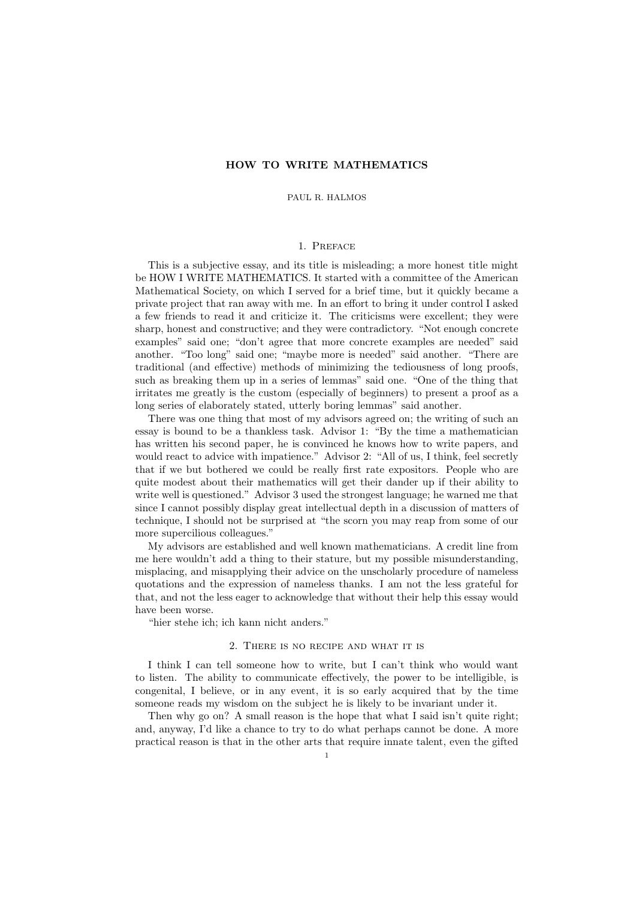# HOW TO WRITE MATHEMATICS

### PAUL R. HALMOS

## 1. Preface

This is a subjective essay, and its title is misleading; a more honest title might be HOW I WRITE MATHEMATICS. It started with a committee of the American Mathematical Society, on which I served for a brief time, but it quickly became a private project that ran away with me. In an effort to bring it under control I asked a few friends to read it and criticize it. The criticisms were excellent; they were sharp, honest and constructive; and they were contradictory. "Not enough concrete examples" said one; "don't agree that more concrete examples are needed" said another. "Too long" said one; "maybe more is needed" said another. "There are traditional (and effective) methods of minimizing the tediousness of long proofs, such as breaking them up in a series of lemmas" said one. "One of the thing that irritates me greatly is the custom (especially of beginners) to present a proof as a long series of elaborately stated, utterly boring lemmas" said another.

There was one thing that most of my advisors agreed on; the writing of such an essay is bound to be a thankless task. Advisor 1: "By the time a mathematician has written his second paper, he is convinced he knows how to write papers, and would react to advice with impatience." Advisor 2: "All of us, I think, feel secretly that if we but bothered we could be really first rate expositors. People who are quite modest about their mathematics will get their dander up if their ability to write well is questioned." Advisor 3 used the strongest language; he warned me that since I cannot possibly display great intellectual depth in a discussion of matters of technique, I should not be surprised at "the scorn you may reap from some of our more supercilious colleagues."

My advisors are established and well known mathematicians. A credit line from me here wouldn't add a thing to their stature, but my possible misunderstanding, misplacing, and misapplying their advice on the unscholarly procedure of nameless quotations and the expression of nameless thanks. I am not the less grateful for that, and not the less eager to acknowledge that without their help this essay would have been worse.

"hier stehe ich; ich kann nicht anders."

### 2. There is no recipe and what it is

I think I can tell someone how to write, but I can't think who would want to listen. The ability to communicate effectively, the power to be intelligible, is congenital, I believe, or in any event, it is so early acquired that by the time someone reads my wisdom on the subject he is likely to be invariant under it.

Then why go on? A small reason is the hope that what I said isn't quite right; and, anyway, I'd like a chance to try to do what perhaps cannot be done. A more practical reason is that in the other arts that require innate talent, even the gifted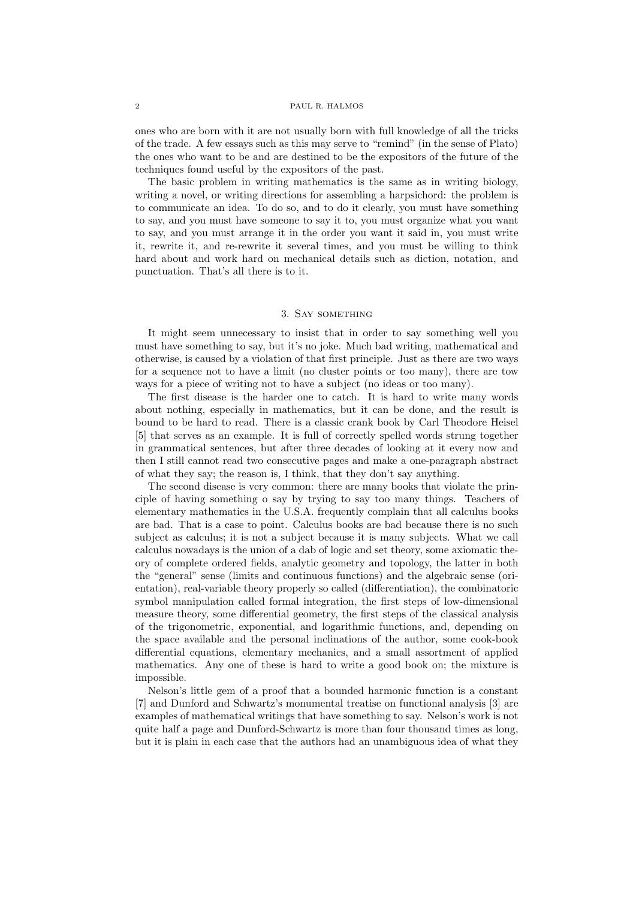ones who are born with it are not usually born with full knowledge of all the tricks of the trade. A few essays such as this may serve to "remind" (in the sense of Plato) the ones who want to be and are destined to be the expositors of the future of the techniques found useful by the expositors of the past.

The basic problem in writing mathematics is the same as in writing biology, writing a novel, or writing directions for assembling a harpsichord: the problem is to communicate an idea. To do so, and to do it clearly, you must have something to say, and you must have someone to say it to, you must organize what you want to say, and you must arrange it in the order you want it said in, you must write it, rewrite it, and re-rewrite it several times, and you must be willing to think hard about and work hard on mechanical details such as diction, notation, and punctuation. That's all there is to it.

## 3. SAY SOMETHING

It might seem unnecessary to insist that in order to say something well you must have something to say, but it's no joke. Much bad writing, mathematical and otherwise, is caused by a violation of that first principle. Just as there are two ways for a sequence not to have a limit (no cluster points or too many), there are tow ways for a piece of writing not to have a subject (no ideas or too many).

The first disease is the harder one to catch. It is hard to write many words about nothing, especially in mathematics, but it can be done, and the result is bound to be hard to read. There is a classic crank book by Carl Theodore Heisel [5] that serves as an example. It is full of correctly spelled words strung together in grammatical sentences, but after three decades of looking at it every now and then I still cannot read two consecutive pages and make a one-paragraph abstract of what they say; the reason is, I think, that they don't say anything.

The second disease is very common: there are many books that violate the principle of having something o say by trying to say too many things. Teachers of elementary mathematics in the U.S.A. frequently complain that all calculus books are bad. That is a case to point. Calculus books are bad because there is no such subject as calculus; it is not a subject because it is many subjects. What we call calculus nowadays is the union of a dab of logic and set theory, some axiomatic theory of complete ordered fields, analytic geometry and topology, the latter in both the "general" sense (limits and continuous functions) and the algebraic sense (orientation), real-variable theory properly so called (differentiation), the combinatoric symbol manipulation called formal integration, the first steps of low-dimensional measure theory, some differential geometry, the first steps of the classical analysis of the trigonometric, exponential, and logarithmic functions, and, depending on the space available and the personal inclinations of the author, some cook-book differential equations, elementary mechanics, and a small assortment of applied mathematics. Any one of these is hard to write a good book on; the mixture is impossible.

Nelson's little gem of a proof that a bounded harmonic function is a constant [7] and Dunford and Schwartz's monumental treatise on functional analysis [3] are examples of mathematical writings that have something to say. Nelson's work is not quite half a page and Dunford-Schwartz is more than four thousand times as long, but it is plain in each case that the authors had an unambiguous idea of what they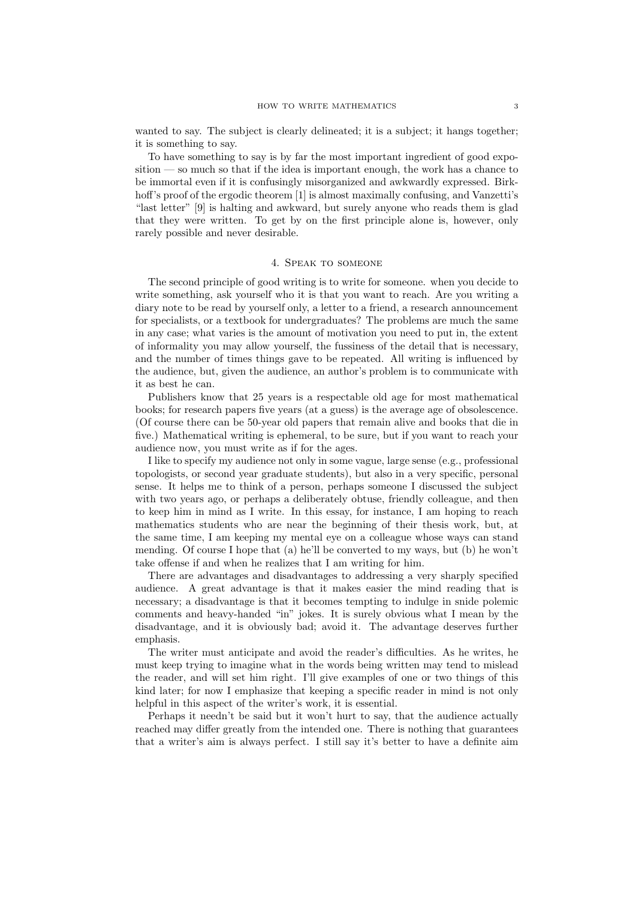wanted to say. The subject is clearly delineated; it is a subject; it hangs together; it is something to say.

To have something to say is by far the most important ingredient of good exposition — so much so that if the idea is important enough, the work has a chance to be immortal even if it is confusingly misorganized and awkwardly expressed. Birkhoff's proof of the ergodic theorem [1] is almost maximally confusing, and Vanzetti's "last letter" [9] is halting and awkward, but surely anyone who reads them is glad that they were written. To get by on the first principle alone is, however, only rarely possible and never desirable.

## 4. Speak to someone

The second principle of good writing is to write for someone. when you decide to write something, ask yourself who it is that you want to reach. Are you writing a diary note to be read by yourself only, a letter to a friend, a research announcement for specialists, or a textbook for undergraduates? The problems are much the same in any case; what varies is the amount of motivation you need to put in, the extent of informality you may allow yourself, the fussiness of the detail that is necessary, and the number of times things gave to be repeated. All writing is influenced by the audience, but, given the audience, an author's problem is to communicate with it as best he can.

Publishers know that 25 years is a respectable old age for most mathematical books; for research papers five years (at a guess) is the average age of obsolescence. (Of course there can be 50-year old papers that remain alive and books that die in five.) Mathematical writing is ephemeral, to be sure, but if you want to reach your audience now, you must write as if for the ages.

I like to specify my audience not only in some vague, large sense (e.g., professional topologists, or second year graduate students), but also in a very specific, personal sense. It helps me to think of a person, perhaps someone I discussed the subject with two years ago, or perhaps a deliberately obtuse, friendly colleague, and then to keep him in mind as I write. In this essay, for instance, I am hoping to reach mathematics students who are near the beginning of their thesis work, but, at the same time, I am keeping my mental eye on a colleague whose ways can stand mending. Of course I hope that (a) he'll be converted to my ways, but (b) he won't take offense if and when he realizes that I am writing for him.

There are advantages and disadvantages to addressing a very sharply specified audience. A great advantage is that it makes easier the mind reading that is necessary; a disadvantage is that it becomes tempting to indulge in snide polemic comments and heavy-handed "in" jokes. It is surely obvious what I mean by the disadvantage, and it is obviously bad; avoid it. The advantage deserves further emphasis.

The writer must anticipate and avoid the reader's difficulties. As he writes, he must keep trying to imagine what in the words being written may tend to mislead the reader, and will set him right. I'll give examples of one or two things of this kind later; for now I emphasize that keeping a specific reader in mind is not only helpful in this aspect of the writer's work, it is essential.

Perhaps it needn't be said but it won't hurt to say, that the audience actually reached may differ greatly from the intended one. There is nothing that guarantees that a writer's aim is always perfect. I still say it's better to have a definite aim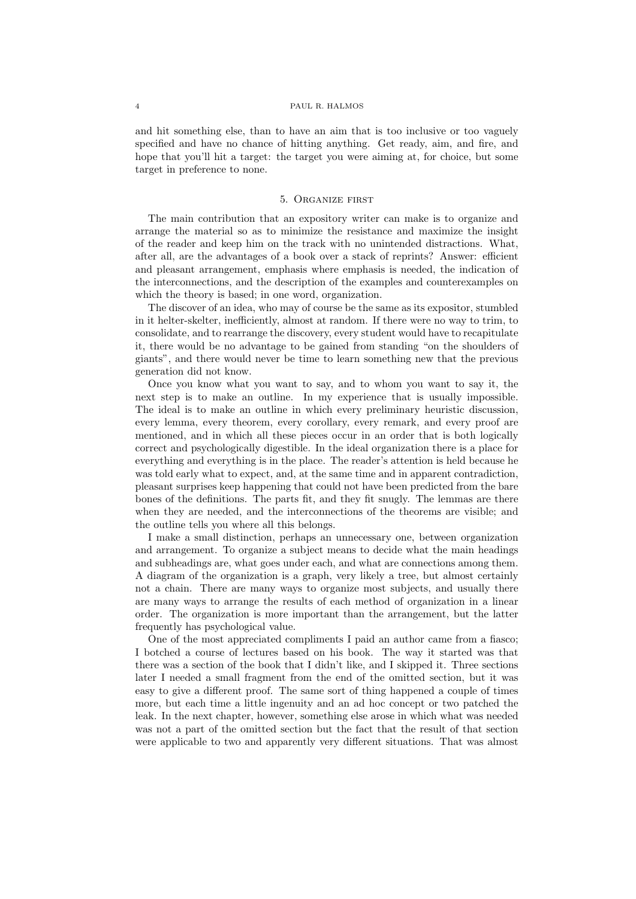and hit something else, than to have an aim that is too inclusive or too vaguely specified and have no chance of hitting anything. Get ready, aim, and fire, and hope that you'll hit a target: the target you were aiming at, for choice, but some target in preference to none.

## 5. Organize first

The main contribution that an expository writer can make is to organize and arrange the material so as to minimize the resistance and maximize the insight of the reader and keep him on the track with no unintended distractions. What, after all, are the advantages of a book over a stack of reprints? Answer: efficient and pleasant arrangement, emphasis where emphasis is needed, the indication of the interconnections, and the description of the examples and counterexamples on which the theory is based; in one word, organization.

The discover of an idea, who may of course be the same as its expositor, stumbled in it helter-skelter, inefficiently, almost at random. If there were no way to trim, to consolidate, and to rearrange the discovery, every student would have to recapitulate it, there would be no advantage to be gained from standing "on the shoulders of giants", and there would never be time to learn something new that the previous generation did not know.

Once you know what you want to say, and to whom you want to say it, the next step is to make an outline. In my experience that is usually impossible. The ideal is to make an outline in which every preliminary heuristic discussion, every lemma, every theorem, every corollary, every remark, and every proof are mentioned, and in which all these pieces occur in an order that is both logically correct and psychologically digestible. In the ideal organization there is a place for everything and everything is in the place. The reader's attention is held because he was told early what to expect, and, at the same time and in apparent contradiction, pleasant surprises keep happening that could not have been predicted from the bare bones of the definitions. The parts fit, and they fit snugly. The lemmas are there when they are needed, and the interconnections of the theorems are visible; and the outline tells you where all this belongs.

I make a small distinction, perhaps an unnecessary one, between organization and arrangement. To organize a subject means to decide what the main headings and subheadings are, what goes under each, and what are connections among them. A diagram of the organization is a graph, very likely a tree, but almost certainly not a chain. There are many ways to organize most subjects, and usually there are many ways to arrange the results of each method of organization in a linear order. The organization is more important than the arrangement, but the latter frequently has psychological value.

One of the most appreciated compliments I paid an author came from a fiasco; I botched a course of lectures based on his book. The way it started was that there was a section of the book that I didn't like, and I skipped it. Three sections later I needed a small fragment from the end of the omitted section, but it was easy to give a different proof. The same sort of thing happened a couple of times more, but each time a little ingenuity and an ad hoc concept or two patched the leak. In the next chapter, however, something else arose in which what was needed was not a part of the omitted section but the fact that the result of that section were applicable to two and apparently very different situations. That was almost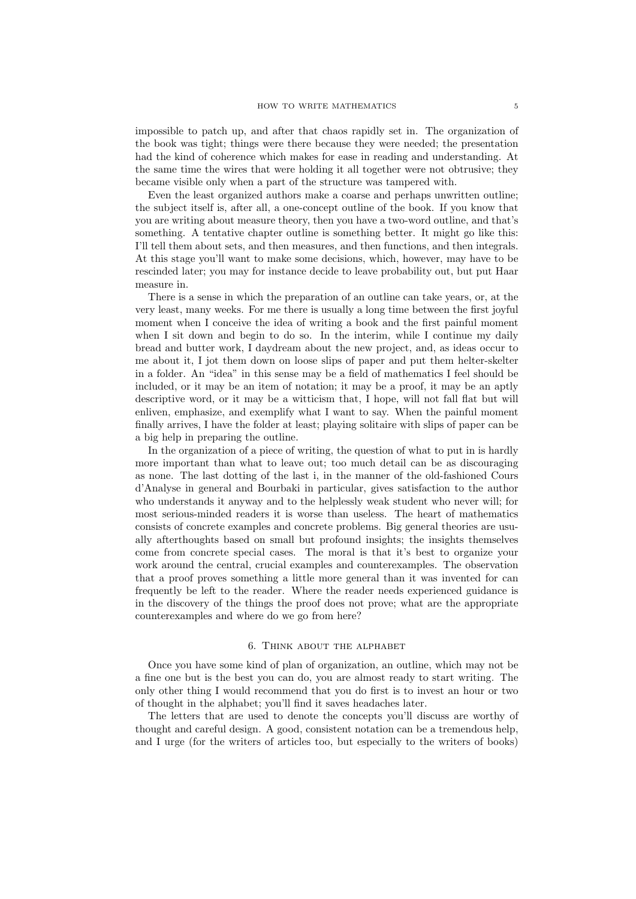impossible to patch up, and after that chaos rapidly set in. The organization of the book was tight; things were there because they were needed; the presentation had the kind of coherence which makes for ease in reading and understanding. At the same time the wires that were holding it all together were not obtrusive; they became visible only when a part of the structure was tampered with.

Even the least organized authors make a coarse and perhaps unwritten outline; the subject itself is, after all, a one-concept outline of the book. If you know that you are writing about measure theory, then you have a two-word outline, and that's something. A tentative chapter outline is something better. It might go like this: I'll tell them about sets, and then measures, and then functions, and then integrals. At this stage you'll want to make some decisions, which, however, may have to be rescinded later; you may for instance decide to leave probability out, but put Haar measure in.

There is a sense in which the preparation of an outline can take years, or, at the very least, many weeks. For me there is usually a long time between the first joyful moment when I conceive the idea of writing a book and the first painful moment when I sit down and begin to do so. In the interim, while I continue my daily bread and butter work, I daydream about the new project, and, as ideas occur to me about it, I jot them down on loose slips of paper and put them helter-skelter in a folder. An "idea" in this sense may be a field of mathematics I feel should be included, or it may be an item of notation; it may be a proof, it may be an aptly descriptive word, or it may be a witticism that, I hope, will not fall flat but will enliven, emphasize, and exemplify what I want to say. When the painful moment finally arrives, I have the folder at least; playing solitaire with slips of paper can be a big help in preparing the outline.

In the organization of a piece of writing, the question of what to put in is hardly more important than what to leave out; too much detail can be as discouraging as none. The last dotting of the last i, in the manner of the old-fashioned Cours d'Analyse in general and Bourbaki in particular, gives satisfaction to the author who understands it anyway and to the helplessly weak student who never will; for most serious-minded readers it is worse than useless. The heart of mathematics consists of concrete examples and concrete problems. Big general theories are usually afterthoughts based on small but profound insights; the insights themselves come from concrete special cases. The moral is that it's best to organize your work around the central, crucial examples and counterexamples. The observation that a proof proves something a little more general than it was invented for can frequently be left to the reader. Where the reader needs experienced guidance is in the discovery of the things the proof does not prove; what are the appropriate counterexamples and where do we go from here?

# 6. Think about the alphabet

Once you have some kind of plan of organization, an outline, which may not be a fine one but is the best you can do, you are almost ready to start writing. The only other thing I would recommend that you do first is to invest an hour or two of thought in the alphabet; you'll find it saves headaches later.

The letters that are used to denote the concepts you'll discuss are worthy of thought and careful design. A good, consistent notation can be a tremendous help, and I urge (for the writers of articles too, but especially to the writers of books)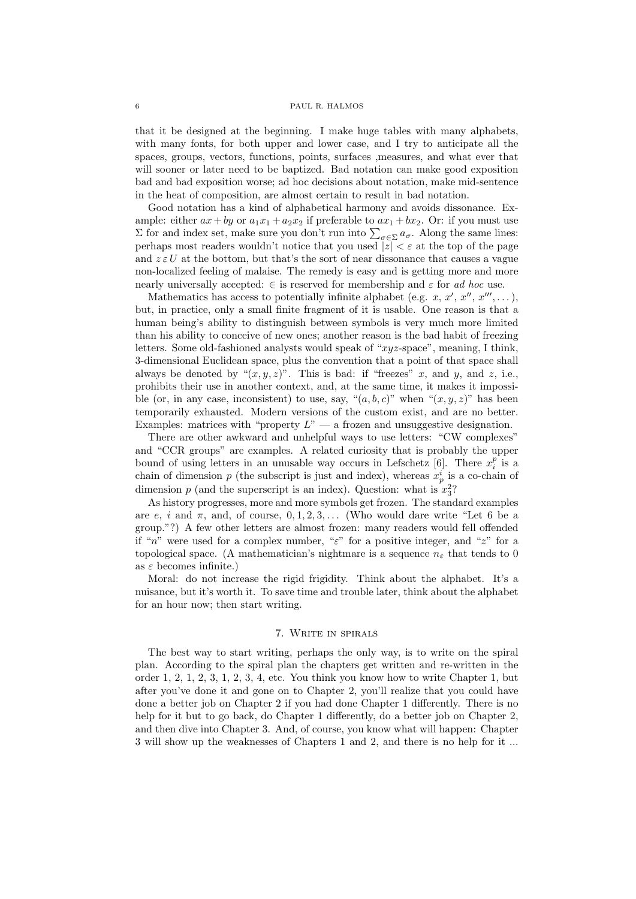that it be designed at the beginning. I make huge tables with many alphabets, with many fonts, for both upper and lower case, and I try to anticipate all the spaces, groups, vectors, functions, points, surfaces ,measures, and what ever that will sooner or later need to be baptized. Bad notation can make good exposition bad and bad exposition worse; ad hoc decisions about notation, make mid-sentence in the heat of composition, are almost certain to result in bad notation.

Good notation has a kind of alphabetical harmony and avoids dissonance. Example: either  $ax + by$  or  $a_1x_1 + a_2x_2$  if preferable to  $ax_1 + bx_2$ . Or: if you must use Σ for and index set, make sure you don't run into  $\sum_{\sigma \in \Sigma} a_{\sigma}$ . Along the same lines: perhaps most readers wouldn't notice that you used  $|z| < \varepsilon$  at the top of the page and  $z \in U$  at the bottom, but that's the sort of near dissonance that causes a vague non-localized feeling of malaise. The remedy is easy and is getting more and more nearly universally accepted:  $\in$  is reserved for membership and  $\varepsilon$  for ad hoc use.

Mathematics has access to potentially infinite alphabet (e.g. x, x', x'', x''', ...), but, in practice, only a small finite fragment of it is usable. One reason is that a human being's ability to distinguish between symbols is very much more limited than his ability to conceive of new ones; another reason is the bad habit of freezing letters. Some old-fashioned analysts would speak of "xyz-space", meaning, I think, 3-dimensional Euclidean space, plus the convention that a point of that space shall always be denoted by " $(x, y, z)$ ". This is bad: if "freezes" x, and y, and z, i.e., prohibits their use in another context, and, at the same time, it makes it impossible (or, in any case, inconsistent) to use, say, " $(a, b, c)$ " when " $(x, y, z)$ " has been temporarily exhausted. Modern versions of the custom exist, and are no better. Examples: matrices with "property  $L$ " — a frozen and unsuggestive designation.

There are other awkward and unhelpful ways to use letters: "CW complexes" and "CCR groups" are examples. A related curiosity that is probably the upper bound of using letters in an unusable way occurs in Lefschetz [6]. There  $x_i^p$  is a chain of dimension p (the subscript is just and index), whereas  $x_p^i$  is a co-chain of dimension  $p$  (and the superscript is an index). Question: what is  $x_3^2$ ?

As history progresses, more and more symbols get frozen. The standard examples are e, i and  $\pi$ , and, of course,  $0, 1, 2, 3, \ldots$  (Who would dare write "Let 6 be a group."?) A few other letters are almost frozen: many readers would fell offended if "n" were used for a complex number, " $\varepsilon$ " for a positive integer, and "z" for a topological space. (A mathematician's nightmare is a sequence  $n_{\varepsilon}$  that tends to 0 as  $\varepsilon$  becomes infinite.)

Moral: do not increase the rigid frigidity. Think about the alphabet. It's a nuisance, but it's worth it. To save time and trouble later, think about the alphabet for an hour now; then start writing.

## 7. Write in spirals

The best way to start writing, perhaps the only way, is to write on the spiral plan. According to the spiral plan the chapters get written and re-written in the order 1, 2, 1, 2, 3, 1, 2, 3, 4, etc. You think you know how to write Chapter 1, but after you've done it and gone on to Chapter 2, you'll realize that you could have done a better job on Chapter 2 if you had done Chapter 1 differently. There is no help for it but to go back, do Chapter 1 differently, do a better job on Chapter 2, and then dive into Chapter 3. And, of course, you know what will happen: Chapter 3 will show up the weaknesses of Chapters 1 and 2, and there is no help for it ...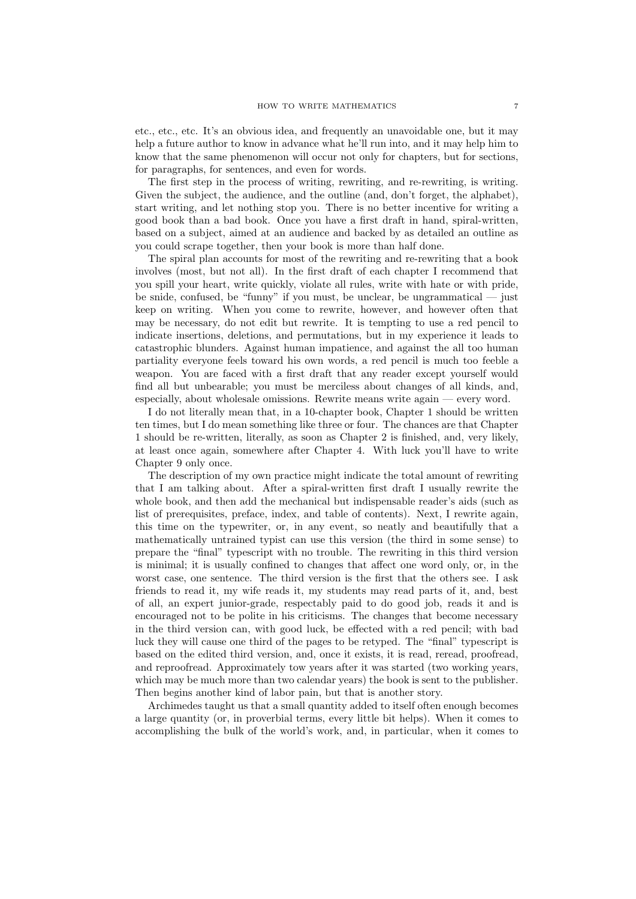etc., etc., etc. It's an obvious idea, and frequently an unavoidable one, but it may help a future author to know in advance what he'll run into, and it may help him to know that the same phenomenon will occur not only for chapters, but for sections, for paragraphs, for sentences, and even for words.

The first step in the process of writing, rewriting, and re-rewriting, is writing. Given the subject, the audience, and the outline (and, don't forget, the alphabet), start writing, and let nothing stop you. There is no better incentive for writing a good book than a bad book. Once you have a first draft in hand, spiral-written, based on a subject, aimed at an audience and backed by as detailed an outline as you could scrape together, then your book is more than half done.

The spiral plan accounts for most of the rewriting and re-rewriting that a book involves (most, but not all). In the first draft of each chapter I recommend that you spill your heart, write quickly, violate all rules, write with hate or with pride, be snide, confused, be "funny" if you must, be unclear, be ungrammatical — just keep on writing. When you come to rewrite, however, and however often that may be necessary, do not edit but rewrite. It is tempting to use a red pencil to indicate insertions, deletions, and permutations, but in my experience it leads to catastrophic blunders. Against human impatience, and against the all too human partiality everyone feels toward his own words, a red pencil is much too feeble a weapon. You are faced with a first draft that any reader except yourself would find all but unbearable; you must be merciless about changes of all kinds, and, especially, about wholesale omissions. Rewrite means write again — every word.

I do not literally mean that, in a 10-chapter book, Chapter 1 should be written ten times, but I do mean something like three or four. The chances are that Chapter 1 should be re-written, literally, as soon as Chapter 2 is finished, and, very likely, at least once again, somewhere after Chapter 4. With luck you'll have to write Chapter 9 only once.

The description of my own practice might indicate the total amount of rewriting that I am talking about. After a spiral-written first draft I usually rewrite the whole book, and then add the mechanical but indispensable reader's aids (such as list of prerequisites, preface, index, and table of contents). Next, I rewrite again, this time on the typewriter, or, in any event, so neatly and beautifully that a mathematically untrained typist can use this version (the third in some sense) to prepare the "final" typescript with no trouble. The rewriting in this third version is minimal; it is usually confined to changes that affect one word only, or, in the worst case, one sentence. The third version is the first that the others see. I ask friends to read it, my wife reads it, my students may read parts of it, and, best of all, an expert junior-grade, respectably paid to do good job, reads it and is encouraged not to be polite in his criticisms. The changes that become necessary in the third version can, with good luck, be effected with a red pencil; with bad luck they will cause one third of the pages to be retyped. The "final" typescript is based on the edited third version, and, once it exists, it is read, reread, proofread, and reproofread. Approximately tow years after it was started (two working years, which may be much more than two calendar years) the book is sent to the publisher. Then begins another kind of labor pain, but that is another story.

Archimedes taught us that a small quantity added to itself often enough becomes a large quantity (or, in proverbial terms, every little bit helps). When it comes to accomplishing the bulk of the world's work, and, in particular, when it comes to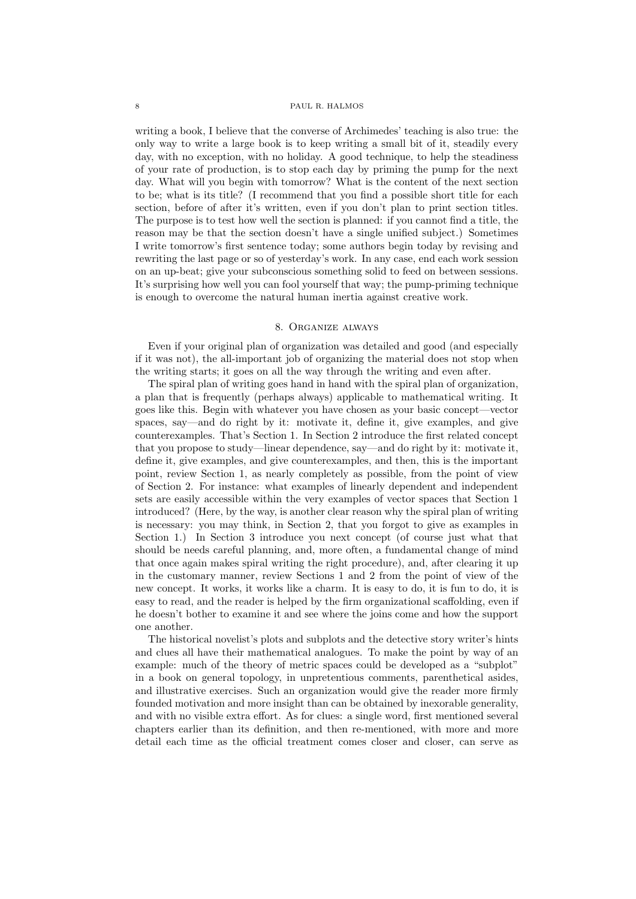writing a book, I believe that the converse of Archimedes' teaching is also true: the only way to write a large book is to keep writing a small bit of it, steadily every day, with no exception, with no holiday. A good technique, to help the steadiness of your rate of production, is to stop each day by priming the pump for the next day. What will you begin with tomorrow? What is the content of the next section to be; what is its title? (I recommend that you find a possible short title for each section, before of after it's written, even if you don't plan to print section titles. The purpose is to test how well the section is planned: if you cannot find a title, the reason may be that the section doesn't have a single unified subject.) Sometimes I write tomorrow's first sentence today; some authors begin today by revising and rewriting the last page or so of yesterday's work. In any case, end each work session on an up-beat; give your subconscious something solid to feed on between sessions. It's surprising how well you can fool yourself that way; the pump-priming technique is enough to overcome the natural human inertia against creative work.

## 8. Organize always

Even if your original plan of organization was detailed and good (and especially if it was not), the all-important job of organizing the material does not stop when the writing starts; it goes on all the way through the writing and even after.

The spiral plan of writing goes hand in hand with the spiral plan of organization, a plan that is frequently (perhaps always) applicable to mathematical writing. It goes like this. Begin with whatever you have chosen as your basic concept—vector spaces, say—and do right by it: motivate it, define it, give examples, and give counterexamples. That's Section 1. In Section 2 introduce the first related concept that you propose to study—linear dependence, say—and do right by it: motivate it, define it, give examples, and give counterexamples, and then, this is the important point, review Section 1, as nearly completely as possible, from the point of view of Section 2. For instance: what examples of linearly dependent and independent sets are easily accessible within the very examples of vector spaces that Section 1 introduced? (Here, by the way, is another clear reason why the spiral plan of writing is necessary: you may think, in Section 2, that you forgot to give as examples in Section 1.) In Section 3 introduce you next concept (of course just what that should be needs careful planning, and, more often, a fundamental change of mind that once again makes spiral writing the right procedure), and, after clearing it up in the customary manner, review Sections 1 and 2 from the point of view of the new concept. It works, it works like a charm. It is easy to do, it is fun to do, it is easy to read, and the reader is helped by the firm organizational scaffolding, even if he doesn't bother to examine it and see where the joins come and how the support one another.

The historical novelist's plots and subplots and the detective story writer's hints and clues all have their mathematical analogues. To make the point by way of an example: much of the theory of metric spaces could be developed as a "subplot" in a book on general topology, in unpretentious comments, parenthetical asides, and illustrative exercises. Such an organization would give the reader more firmly founded motivation and more insight than can be obtained by inexorable generality, and with no visible extra effort. As for clues: a single word, first mentioned several chapters earlier than its definition, and then re-mentioned, with more and more detail each time as the official treatment comes closer and closer, can serve as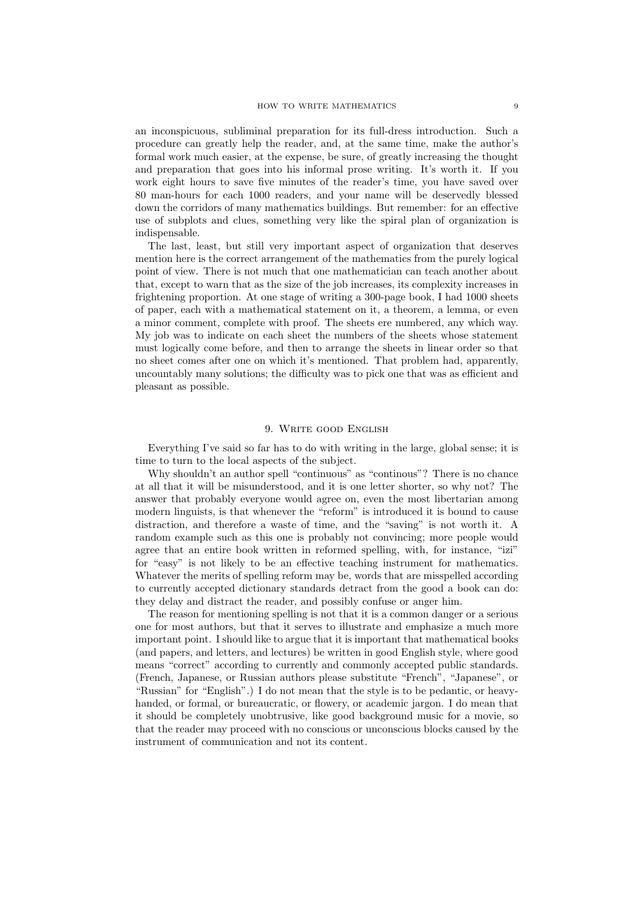an inconspicuous, subliminal preparation for its full-dress introduction. Such a procedure can greatly help the reader, and, at the same time, make the author's formal work much easier, at the expense, be sure, of greatly increasing the thought and preparation that goes into his informal prose writing. It's worth it. If you work eight hours to save five minutes of the reader's time, you have saved over 80 man-hours for each 1000 readers, and your name will be deservedly blessed down the corridors of many mathematics buildings. But remember: for an effective use of subplots and clues, something very like the spiral plan of organization is indispensable.

The last, least, but still very important aspect of organization that deserves mention here is the correct arrangement of the mathematics from the purely logical point of view. There is not much that one mathematician can teach another about that, except to warn that as the size of the job increases, its complexity increases in frightening proportion. At one stage of writing a 300-page book, I had 1000 sheets of paper, each with a mathematical statement on it, a theorem, a lemma, or even a minor comment, complete with proof. The sheets ere numbered, any which way. My job was to indicate on each sheet the numbers of the sheets whose statement must logically come before, and then to arrange the sheets in linear order so that no sheet comes after one on which it's mentioned. That problem had, apparently, uncountably many solutions; the difficulty was to pick one that was as efficient and pleasant as possible.

### 9. Write good English

Everything I've said so far has to do with writing in the large, global sense; it is time to turn to the local aspects of the subject.

Why shouldn't an author spell "continuous" as "continuous"? There is no chance at all that it will be misunderstood, and it is one letter shorter, so why not? The answer that probably everyone would agree on, even the most libertarian among modern linguists, is that whenever the "reform" is introduced it is bound to cause distraction, and therefore a waste of time, and the "saving" is not worth it. A random example such as this one is probably not convincing; more people would agree that an entire book written in reformed spelling, with, for instance, "izi" for "easy" is not likely to be an effective teaching instrument for mathematics. Whatever the merits of spelling reform may be, words that are misspelled according to currently accepted dictionary standards detract from the good a book can do: they delay and distract the reader, and possibly confuse or anger him.

The reason for mentioning spelling is not that it is a common danger or a serious one for most authors, but that it serves to illustrate and emphasize a much more important point. I should like to argue that it is important that mathematical books (and papers, and letters, and lectures) be written in good English style, where good means "correct" according to currently and commonly accepted public standards. (French, Japanese, or Russian authors please substitute "French", "Japanese", or "Russian" for "English".) I do not mean that the style is to be pedantic, or heavyhanded, or formal, or bureaucratic, or flowery, or academic jargon. I do mean that it should be completely unobtrusive, like good background music for a movie, so that the reader may proceed with no conscious or unconscious blocks caused by the instrument of communication and not its content.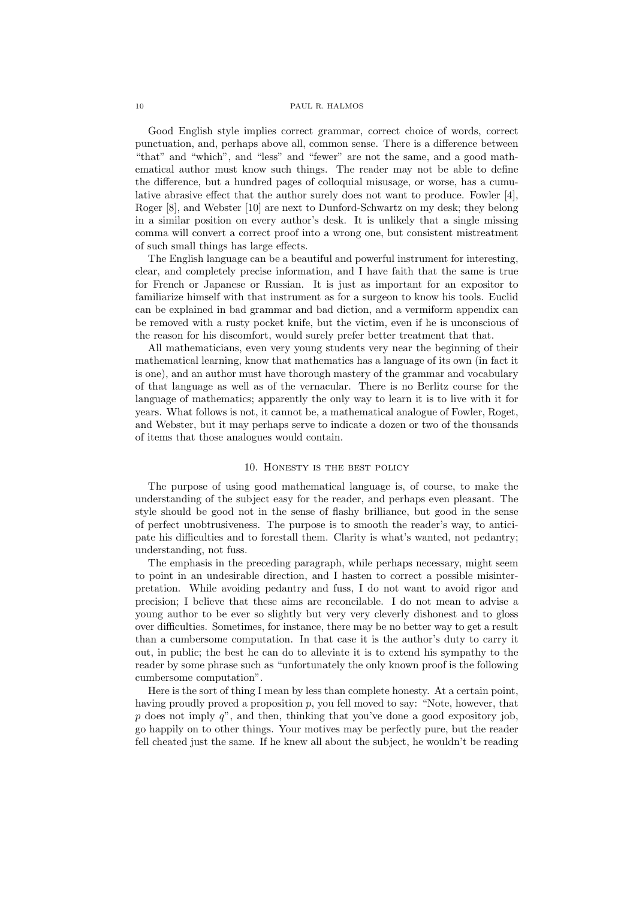Good English style implies correct grammar, correct choice of words, correct punctuation, and, perhaps above all, common sense. There is a difference between "that" and "which", and "less" and "fewer" are not the same, and a good mathematical author must know such things. The reader may not be able to define the difference, but a hundred pages of colloquial misusage, or worse, has a cumulative abrasive effect that the author surely does not want to produce. Fowler [4], Roger [8], and Webster [10] are next to Dunford-Schwartz on my desk; they belong in a similar position on every author's desk. It is unlikely that a single missing comma will convert a correct proof into a wrong one, but consistent mistreatment of such small things has large effects.

The English language can be a beautiful and powerful instrument for interesting, clear, and completely precise information, and I have faith that the same is true for French or Japanese or Russian. It is just as important for an expositor to familiarize himself with that instrument as for a surgeon to know his tools. Euclid can be explained in bad grammar and bad diction, and a vermiform appendix can be removed with a rusty pocket knife, but the victim, even if he is unconscious of the reason for his discomfort, would surely prefer better treatment that that.

All mathematicians, even very young students very near the beginning of their mathematical learning, know that mathematics has a language of its own (in fact it is one), and an author must have thorough mastery of the grammar and vocabulary of that language as well as of the vernacular. There is no Berlitz course for the language of mathematics; apparently the only way to learn it is to live with it for years. What follows is not, it cannot be, a mathematical analogue of Fowler, Roget, and Webster, but it may perhaps serve to indicate a dozen or two of the thousands of items that those analogues would contain.

## 10. Honesty is the best policy

The purpose of using good mathematical language is, of course, to make the understanding of the subject easy for the reader, and perhaps even pleasant. The style should be good not in the sense of flashy brilliance, but good in the sense of perfect unobtrusiveness. The purpose is to smooth the reader's way, to anticipate his difficulties and to forestall them. Clarity is what's wanted, not pedantry; understanding, not fuss.

The emphasis in the preceding paragraph, while perhaps necessary, might seem to point in an undesirable direction, and I hasten to correct a possible misinterpretation. While avoiding pedantry and fuss, I do not want to avoid rigor and precision; I believe that these aims are reconcilable. I do not mean to advise a young author to be ever so slightly but very very cleverly dishonest and to gloss over difficulties. Sometimes, for instance, there may be no better way to get a result than a cumbersome computation. In that case it is the author's duty to carry it out, in public; the best he can do to alleviate it is to extend his sympathy to the reader by some phrase such as "unfortunately the only known proof is the following cumbersome computation".

Here is the sort of thing I mean by less than complete honesty. At a certain point, having proudly proved a proposition  $p$ , you fell moved to say: "Note, however, that  $p$  does not imply  $q$ ", and then, thinking that you've done a good expository job, go happily on to other things. Your motives may be perfectly pure, but the reader fell cheated just the same. If he knew all about the subject, he wouldn't be reading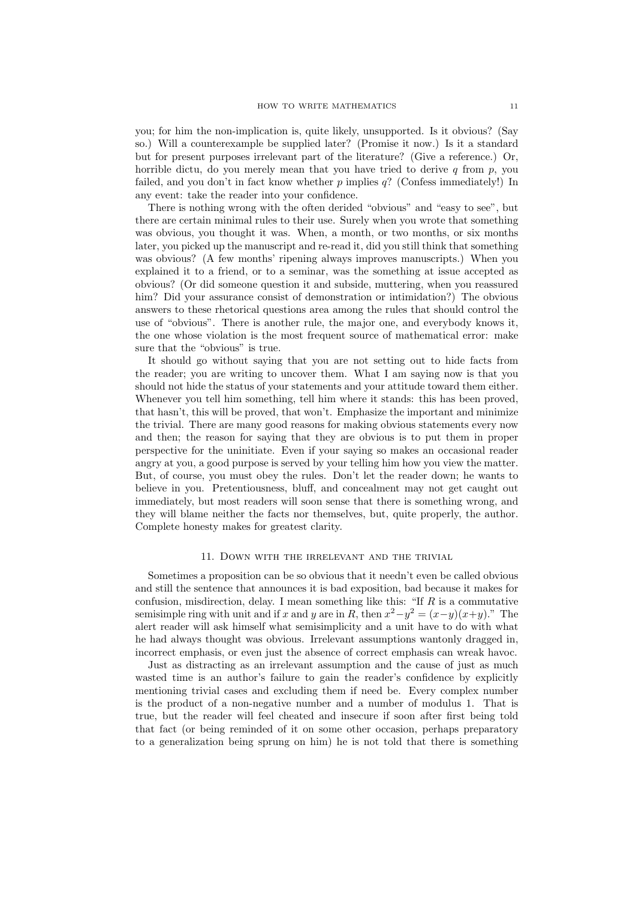you; for him the non-implication is, quite likely, unsupported. Is it obvious? (Say so.) Will a counterexample be supplied later? (Promise it now.) Is it a standard but for present purposes irrelevant part of the literature? (Give a reference.) Or, horrible dictu, do you merely mean that you have tried to derive  $q$  from  $p$ , you failed, and you don't in fact know whether p implies  $q$ ? (Confess immediately!) In any event: take the reader into your confidence.

There is nothing wrong with the often derided "obvious" and "easy to see", but there are certain minimal rules to their use. Surely when you wrote that something was obvious, you thought it was. When, a month, or two months, or six months later, you picked up the manuscript and re-read it, did you still think that something was obvious? (A few months' ripening always improves manuscripts.) When you explained it to a friend, or to a seminar, was the something at issue accepted as obvious? (Or did someone question it and subside, muttering, when you reassured him? Did your assurance consist of demonstration or intimidation?) The obvious answers to these rhetorical questions area among the rules that should control the use of "obvious". There is another rule, the major one, and everybody knows it, the one whose violation is the most frequent source of mathematical error: make sure that the "obvious" is true.

It should go without saying that you are not setting out to hide facts from the reader; you are writing to uncover them. What I am saying now is that you should not hide the status of your statements and your attitude toward them either. Whenever you tell him something, tell him where it stands: this has been proved, that hasn't, this will be proved, that won't. Emphasize the important and minimize the trivial. There are many good reasons for making obvious statements every now and then; the reason for saying that they are obvious is to put them in proper perspective for the uninitiate. Even if your saying so makes an occasional reader angry at you, a good purpose is served by your telling him how you view the matter. But, of course, you must obey the rules. Don't let the reader down; he wants to believe in you. Pretentiousness, bluff, and concealment may not get caught out immediately, but most readers will soon sense that there is something wrong, and they will blame neither the facts nor themselves, but, quite properly, the author. Complete honesty makes for greatest clarity.

## 11. Down with the irrelevant and the trivial

Sometimes a proposition can be so obvious that it needn't even be called obvious and still the sentence that announces it is bad exposition, bad because it makes for confusion, misdirection, delay. I mean something like this: "If  $R$  is a commutative semisimple ring with unit and if x and y are in R, then  $x^2 - y^2 = (x - y)(x + y)$ ." The alert reader will ask himself what semisimplicity and a unit have to do with what he had always thought was obvious. Irrelevant assumptions wantonly dragged in, incorrect emphasis, or even just the absence of correct emphasis can wreak havoc.

Just as distracting as an irrelevant assumption and the cause of just as much wasted time is an author's failure to gain the reader's confidence by explicitly mentioning trivial cases and excluding them if need be. Every complex number is the product of a non-negative number and a number of modulus 1. That is true, but the reader will feel cheated and insecure if soon after first being told that fact (or being reminded of it on some other occasion, perhaps preparatory to a generalization being sprung on him) he is not told that there is something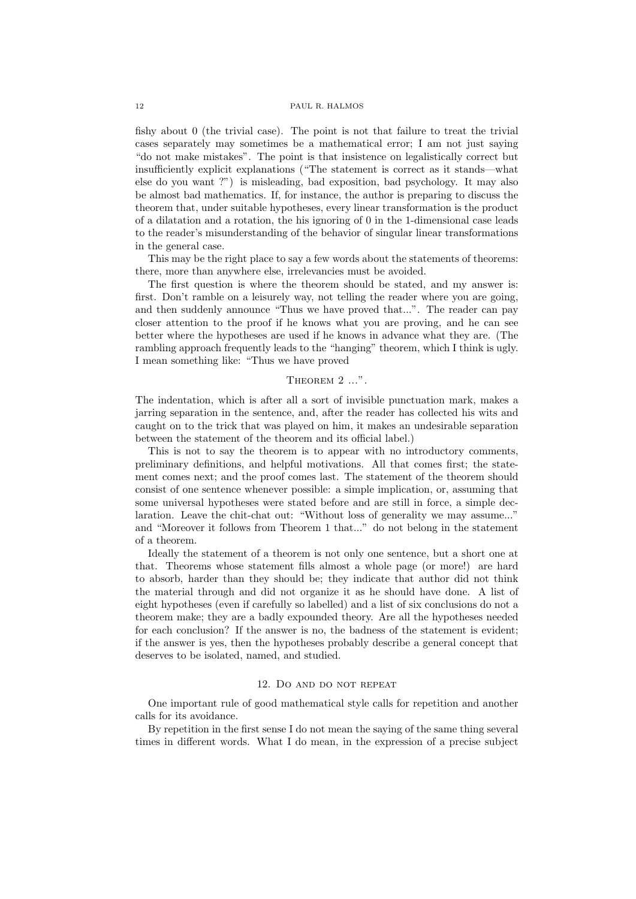fishy about 0 (the trivial case). The point is not that failure to treat the trivial cases separately may sometimes be a mathematical error; I am not just saying "do not make mistakes". The point is that insistence on legalistically correct but insufficiently explicit explanations ("The statement is correct as it stands—what else do you want ?") is misleading, bad exposition, bad psychology. It may also be almost bad mathematics. If, for instance, the author is preparing to discuss the theorem that, under suitable hypotheses, every linear transformation is the product of a dilatation and a rotation, the his ignoring of 0 in the 1-dimensional case leads to the reader's misunderstanding of the behavior of singular linear transformations in the general case.

This may be the right place to say a few words about the statements of theorems: there, more than anywhere else, irrelevancies must be avoided.

The first question is where the theorem should be stated, and my answer is: first. Don't ramble on a leisurely way, not telling the reader where you are going, and then suddenly announce "Thus we have proved that...". The reader can pay closer attention to the proof if he knows what you are proving, and he can see better where the hypotheses are used if he knows in advance what they are. (The rambling approach frequently leads to the "hanging" theorem, which I think is ugly. I mean something like: "Thus we have proved

# THEOREM 2 ...".

The indentation, which is after all a sort of invisible punctuation mark, makes a jarring separation in the sentence, and, after the reader has collected his wits and caught on to the trick that was played on him, it makes an undesirable separation between the statement of the theorem and its official label.)

This is not to say the theorem is to appear with no introductory comments, preliminary definitions, and helpful motivations. All that comes first; the statement comes next; and the proof comes last. The statement of the theorem should consist of one sentence whenever possible: a simple implication, or, assuming that some universal hypotheses were stated before and are still in force, a simple declaration. Leave the chit-chat out: "Without loss of generality we may assume..." and "Moreover it follows from Theorem 1 that..." do not belong in the statement of a theorem.

Ideally the statement of a theorem is not only one sentence, but a short one at that. Theorems whose statement fills almost a whole page (or more!) are hard to absorb, harder than they should be; they indicate that author did not think the material through and did not organize it as he should have done. A list of eight hypotheses (even if carefully so labelled) and a list of six conclusions do not a theorem make; they are a badly expounded theory. Are all the hypotheses needed for each conclusion? If the answer is no, the badness of the statement is evident; if the answer is yes, then the hypotheses probably describe a general concept that deserves to be isolated, named, and studied.

# 12. Do and do not repeat

One important rule of good mathematical style calls for repetition and another calls for its avoidance.

By repetition in the first sense I do not mean the saying of the same thing several times in different words. What I do mean, in the expression of a precise subject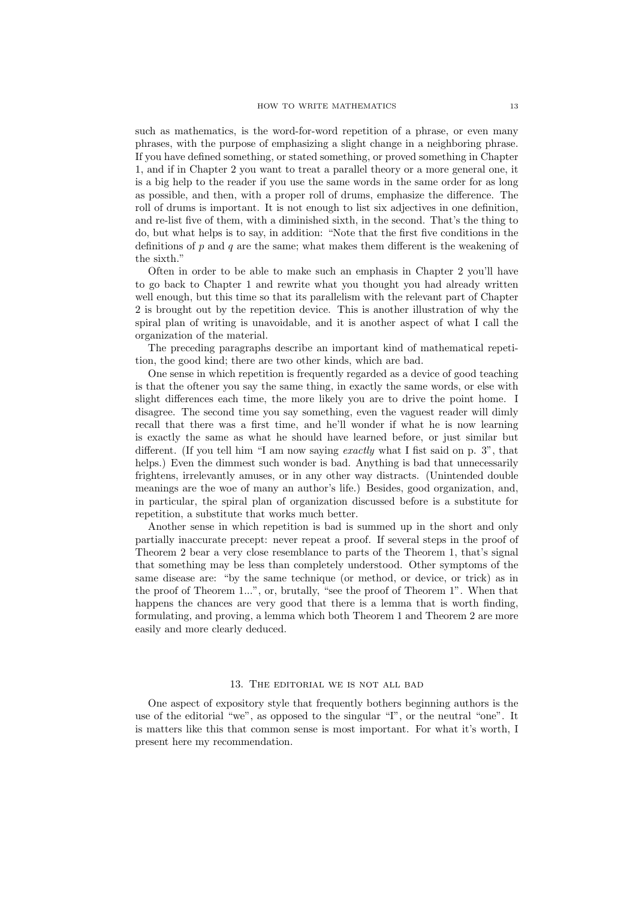such as mathematics, is the word-for-word repetition of a phrase, or even many phrases, with the purpose of emphasizing a slight change in a neighboring phrase. If you have defined something, or stated something, or proved something in Chapter 1, and if in Chapter 2 you want to treat a parallel theory or a more general one, it is a big help to the reader if you use the same words in the same order for as long as possible, and then, with a proper roll of drums, emphasize the difference. The roll of drums is important. It is not enough to list six adjectives in one definition, and re-list five of them, with a diminished sixth, in the second. That's the thing to do, but what helps is to say, in addition: "Note that the first five conditions in the definitions of  $p$  and  $q$  are the same; what makes them different is the weakening of the sixth."

Often in order to be able to make such an emphasis in Chapter 2 you'll have to go back to Chapter 1 and rewrite what you thought you had already written well enough, but this time so that its parallelism with the relevant part of Chapter 2 is brought out by the repetition device. This is another illustration of why the spiral plan of writing is unavoidable, and it is another aspect of what I call the organization of the material.

The preceding paragraphs describe an important kind of mathematical repetition, the good kind; there are two other kinds, which are bad.

One sense in which repetition is frequently regarded as a device of good teaching is that the oftener you say the same thing, in exactly the same words, or else with slight differences each time, the more likely you are to drive the point home. I disagree. The second time you say something, even the vaguest reader will dimly recall that there was a first time, and he'll wonder if what he is now learning is exactly the same as what he should have learned before, or just similar but different. (If you tell him "I am now saying exactly what I fist said on p. 3", that helps.) Even the dimmest such wonder is bad. Anything is bad that unnecessarily frightens, irrelevantly amuses, or in any other way distracts. (Unintended double meanings are the woe of many an author's life.) Besides, good organization, and, in particular, the spiral plan of organization discussed before is a substitute for repetition, a substitute that works much better.

Another sense in which repetition is bad is summed up in the short and only partially inaccurate precept: never repeat a proof. If several steps in the proof of Theorem 2 bear a very close resemblance to parts of the Theorem 1, that's signal that something may be less than completely understood. Other symptoms of the same disease are: "by the same technique (or method, or device, or trick) as in the proof of Theorem 1...", or, brutally, "see the proof of Theorem 1". When that happens the chances are very good that there is a lemma that is worth finding, formulating, and proving, a lemma which both Theorem 1 and Theorem 2 are more easily and more clearly deduced.

## 13. The editorial we is not all bad

One aspect of expository style that frequently bothers beginning authors is the use of the editorial "we", as opposed to the singular "I", or the neutral "one". It is matters like this that common sense is most important. For what it's worth, I present here my recommendation.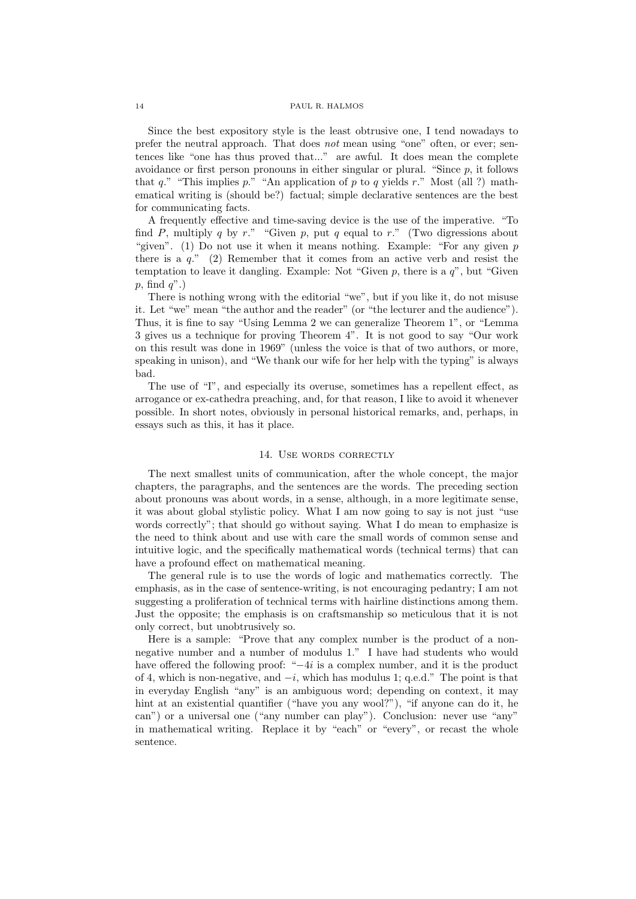Since the best expository style is the least obtrusive one, I tend nowadays to prefer the neutral approach. That does not mean using "one" often, or ever; sentences like "one has thus proved that..." are awful. It does mean the complete avoidance or first person pronouns in either singular or plural. "Since  $p$ , it follows that q." "This implies p." "An application of p to q yields r." Most (all ?) mathematical writing is (should be?) factual; simple declarative sentences are the best for communicating facts.

A frequently effective and time-saving device is the use of the imperative. "To find P, multiply q by r." "Given p, put q equal to r." (Two digressions about "given". (1) Do not use it when it means nothing. Example: "For any given  $p$ there is a  $q$ ." (2) Remember that it comes from an active verb and resist the temptation to leave it dangling. Example: Not "Given  $p$ , there is a  $q$ ", but "Given  $p, \text{ find } q"$ .)

There is nothing wrong with the editorial "we", but if you like it, do not misuse it. Let "we" mean "the author and the reader" (or "the lecturer and the audience"). Thus, it is fine to say "Using Lemma 2 we can generalize Theorem 1", or "Lemma 3 gives us a technique for proving Theorem 4". It is not good to say "Our work on this result was done in 1969" (unless the voice is that of two authors, or more, speaking in unison), and "We thank our wife for her help with the typing" is always bad.

The use of "I", and especially its overuse, sometimes has a repellent effect, as arrogance or ex-cathedra preaching, and, for that reason, I like to avoid it whenever possible. In short notes, obviously in personal historical remarks, and, perhaps, in essays such as this, it has it place.

#### 14. USE WORDS CORRECTLY

The next smallest units of communication, after the whole concept, the major chapters, the paragraphs, and the sentences are the words. The preceding section about pronouns was about words, in a sense, although, in a more legitimate sense, it was about global stylistic policy. What I am now going to say is not just "use words correctly"; that should go without saying. What I do mean to emphasize is the need to think about and use with care the small words of common sense and intuitive logic, and the specifically mathematical words (technical terms) that can have a profound effect on mathematical meaning.

The general rule is to use the words of logic and mathematics correctly. The emphasis, as in the case of sentence-writing, is not encouraging pedantry; I am not suggesting a proliferation of technical terms with hairline distinctions among them. Just the opposite; the emphasis is on craftsmanship so meticulous that it is not only correct, but unobtrusively so.

Here is a sample: "Prove that any complex number is the product of a nonnegative number and a number of modulus 1." I have had students who would have offered the following proof: "−4i is a complex number, and it is the product of 4, which is non-negative, and  $-i$ , which has modulus 1; q.e.d." The point is that in everyday English "any" is an ambiguous word; depending on context, it may hint at an existential quantifier ("have you any wool?"), "if anyone can do it, he can") or a universal one ("any number can play"). Conclusion: never use "any" in mathematical writing. Replace it by "each" or "every", or recast the whole sentence.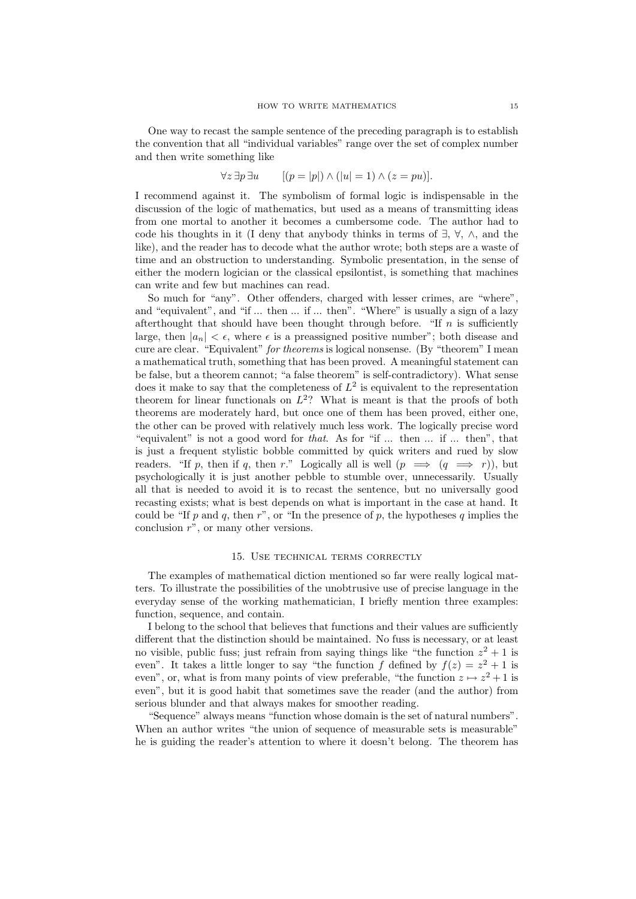One way to recast the sample sentence of the preceding paragraph is to establish the convention that all "individual variables" range over the set of complex number and then write something like

$$
\forall z \,\exists p \,\exists u \qquad [(p = |p|) \land (|u| = 1) \land (z = pu)].
$$

I recommend against it. The symbolism of formal logic is indispensable in the discussion of the logic of mathematics, but used as a means of transmitting ideas from one mortal to another it becomes a cumbersome code. The author had to code his thoughts in it (I deny that anybody thinks in terms of  $\exists$ ,  $\forall$ ,  $\wedge$ , and the like), and the reader has to decode what the author wrote; both steps are a waste of time and an obstruction to understanding. Symbolic presentation, in the sense of either the modern logician or the classical epsilontist, is something that machines can write and few but machines can read.

So much for "any". Other offenders, charged with lesser crimes, are "where", and "equivalent", and "if ... then ... if ... then". "Where" is usually a sign of a lazy afterthought that should have been thought through before. "If  $n$  is sufficiently large, then  $|a_n| < \epsilon$ , where  $\epsilon$  is a preassigned positive number"; both disease and cure are clear. "Equivalent" for theorems is logical nonsense. (By "theorem" I mean a mathematical truth, something that has been proved. A meaningful statement can be false, but a theorem cannot; "a false theorem" is self-contradictory). What sense does it make to say that the completeness of  $L^2$  is equivalent to the representation theorem for linear functionals on  $L^2$ ? What is meant is that the proofs of both theorems are moderately hard, but once one of them has been proved, either one, the other can be proved with relatively much less work. The logically precise word "equivalent" is not a good word for that. As for "if ... then ... if ... then", that is just a frequent stylistic bobble committed by quick writers and rued by slow readers. "If p, then if q, then r." Logically all is well  $(p \implies (q \implies r))$ , but psychologically it is just another pebble to stumble over, unnecessarily. Usually all that is needed to avoid it is to recast the sentence, but no universally good recasting exists; what is best depends on what is important in the case at hand. It could be "If  $p$  and  $q$ , then  $r$ ", or "In the presence of  $p$ , the hypotheses  $q$  implies the conclusion  $r$ ", or many other versions.

## 15. Use technical terms correctly

The examples of mathematical diction mentioned so far were really logical matters. To illustrate the possibilities of the unobtrusive use of precise language in the everyday sense of the working mathematician, I briefly mention three examples: function, sequence, and contain.

I belong to the school that believes that functions and their values are sufficiently different that the distinction should be maintained. No fuss is necessary, or at least no visible, public fuss; just refrain from saying things like "the function  $z^2 + 1$  is even". It takes a little longer to say "the function f defined by  $f(z) = z^2 + 1$  is even", or, what is from many points of view preferable, "the function  $z \mapsto z^2 + 1$  is even", but it is good habit that sometimes save the reader (and the author) from serious blunder and that always makes for smoother reading.

"Sequence" always means "function whose domain is the set of natural numbers". When an author writes "the union of sequence of measurable sets is measurable" he is guiding the reader's attention to where it doesn't belong. The theorem has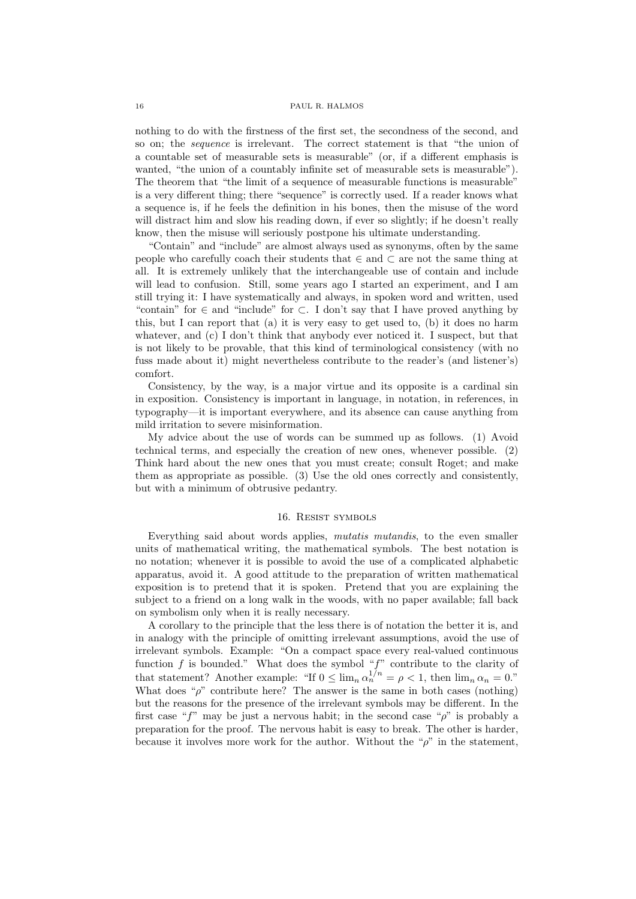nothing to do with the firstness of the first set, the secondness of the second, and so on; the sequence is irrelevant. The correct statement is that "the union of a countable set of measurable sets is measurable" (or, if a different emphasis is wanted, "the union of a countably infinite set of measurable sets is measurable"). The theorem that "the limit of a sequence of measurable functions is measurable" is a very different thing; there "sequence" is correctly used. If a reader knows what a sequence is, if he feels the definition in his bones, then the misuse of the word will distract him and slow his reading down, if ever so slightly; if he doesn't really know, then the misuse will seriously postpone his ultimate understanding.

"Contain" and "include" are almost always used as synonyms, often by the same people who carefully coach their students that  $\in$  and  $\subset$  are not the same thing at all. It is extremely unlikely that the interchangeable use of contain and include will lead to confusion. Still, some years ago I started an experiment, and I am still trying it: I have systematically and always, in spoken word and written, used "contain" for  $\in$  and "include" for  $\subset$ . I don't say that I have proved anything by this, but I can report that (a) it is very easy to get used to, (b) it does no harm whatever, and (c) I don't think that anybody ever noticed it. I suspect, but that is not likely to be provable, that this kind of terminological consistency (with no fuss made about it) might nevertheless contribute to the reader's (and listener's) comfort.

Consistency, by the way, is a major virtue and its opposite is a cardinal sin in exposition. Consistency is important in language, in notation, in references, in typography—it is important everywhere, and its absence can cause anything from mild irritation to severe misinformation.

My advice about the use of words can be summed up as follows. (1) Avoid technical terms, and especially the creation of new ones, whenever possible. (2) Think hard about the new ones that you must create; consult Roget; and make them as appropriate as possible. (3) Use the old ones correctly and consistently, but with a minimum of obtrusive pedantry.

#### 16. Resist symbols

Everything said about words applies, mutatis mutandis, to the even smaller units of mathematical writing, the mathematical symbols. The best notation is no notation; whenever it is possible to avoid the use of a complicated alphabetic apparatus, avoid it. A good attitude to the preparation of written mathematical exposition is to pretend that it is spoken. Pretend that you are explaining the subject to a friend on a long walk in the woods, with no paper available; fall back on symbolism only when it is really necessary.

A corollary to the principle that the less there is of notation the better it is, and in analogy with the principle of omitting irrelevant assumptions, avoid the use of irrelevant symbols. Example: "On a compact space every real-valued continuous function f is bounded." What does the symbol "f" contribute to the clarity of that statement? Another example: "If  $0 \leq \lim_{n} \alpha_n^{1/n} = \rho < 1$ , then  $\lim_{n} \alpha_n = 0$ ." What does " $\rho$ " contribute here? The answer is the same in both cases (nothing) but the reasons for the presence of the irrelevant symbols may be different. In the first case "f" may be just a nervous habit; in the second case " $\rho$ " is probably a preparation for the proof. The nervous habit is easy to break. The other is harder, because it involves more work for the author. Without the " $\rho$ " in the statement,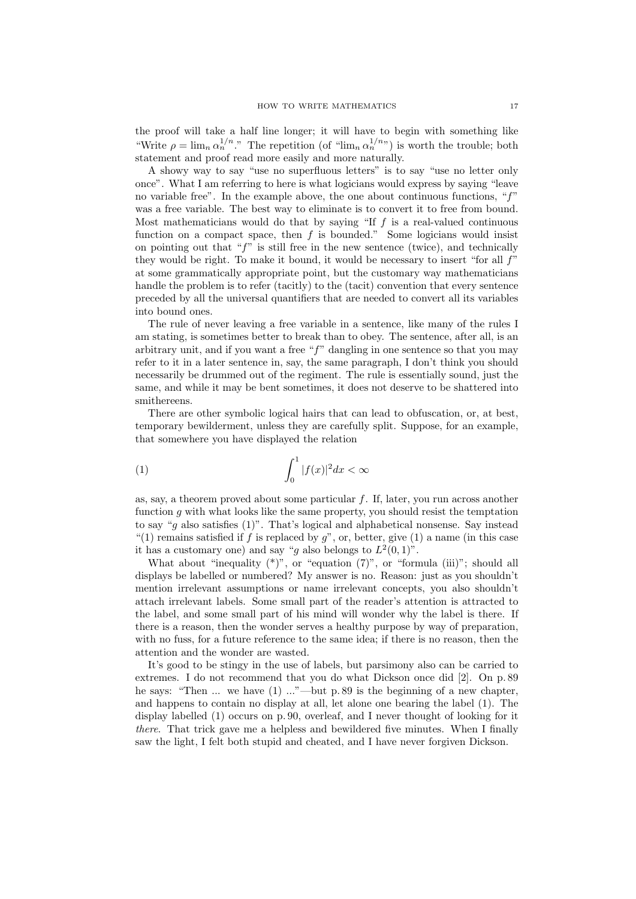the proof will take a half line longer; it will have to begin with something like "Write  $\rho = \lim_n \alpha_n^{1/n}$ ." The repetition (of " $\lim_n \alpha_n^{1/n}$ ") is worth the trouble; both statement and proof read more easily and more naturally.

A showy way to say "use no superfluous letters" is to say "use no letter only once". What I am referring to here is what logicians would express by saying "leave no variable free". In the example above, the one about continuous functions, " $f$ " was a free variable. The best way to eliminate is to convert it to free from bound. Most mathematicians would do that by saying "If  $f$  is a real-valued continuous function on a compact space, then  $f$  is bounded." Some logicians would insist on pointing out that " $f$ " is still free in the new sentence (twice), and technically they would be right. To make it bound, it would be necessary to insert "for all f" at some grammatically appropriate point, but the customary way mathematicians handle the problem is to refer (tacitly) to the (tacit) convention that every sentence preceded by all the universal quantifiers that are needed to convert all its variables into bound ones.

The rule of never leaving a free variable in a sentence, like many of the rules I am stating, is sometimes better to break than to obey. The sentence, after all, is an arbitrary unit, and if you want a free " $f$ " dangling in one sentence so that you may refer to it in a later sentence in, say, the same paragraph, I don't think you should necessarily be drummed out of the regiment. The rule is essentially sound, just the same, and while it may be bent sometimes, it does not deserve to be shattered into smithereens.

There are other symbolic logical hairs that can lead to obfuscation, or, at best, temporary bewilderment, unless they are carefully split. Suppose, for an example, that somewhere you have displayed the relation

$$
(1) \qquad \qquad \int_0^1 |f(x)|^2 dx < \infty
$$

as, say, a theorem proved about some particular  $f$ . If, later, you run across another function g with what looks like the same property, you should resist the temptation to say "g also satisfies  $(1)$ ". That's logical and alphabetical nonsense. Say instead "(1) remains satisfied if f is replaced by  $g$ ", or, better, give (1) a name (in this case it has a customary one) and say "g also belongs to  $L^2(0,1)$ ".

What about "inequality  $(*)$ ", or "equation  $(7)$ ", or "formula (iii)"; should all displays be labelled or numbered? My answer is no. Reason: just as you shouldn't mention irrelevant assumptions or name irrelevant concepts, you also shouldn't attach irrelevant labels. Some small part of the reader's attention is attracted to the label, and some small part of his mind will wonder why the label is there. If there is a reason, then the wonder serves a healthy purpose by way of preparation, with no fuss, for a future reference to the same idea; if there is no reason, then the attention and the wonder are wasted.

It's good to be stingy in the use of labels, but parsimony also can be carried to extremes. I do not recommend that you do what Dickson once did [2]. On p. 89 he says: "Then ... we have  $(1)$  ..."—but p. 89 is the beginning of a new chapter, and happens to contain no display at all, let alone one bearing the label (1). The display labelled (1) occurs on p. 90, overleaf, and I never thought of looking for it there. That trick gave me a helpless and bewildered five minutes. When I finally saw the light, I felt both stupid and cheated, and I have never forgiven Dickson.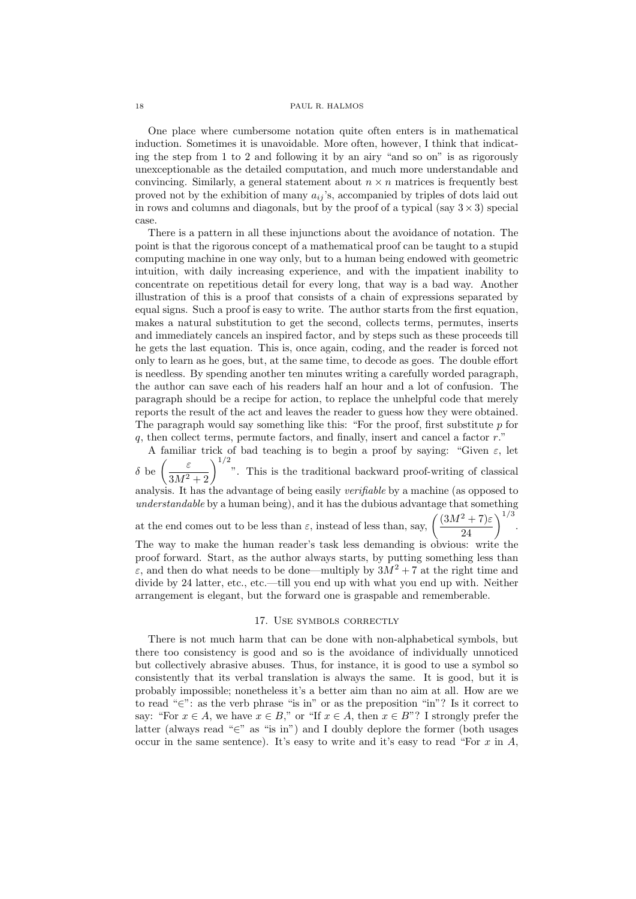One place where cumbersome notation quite often enters is in mathematical induction. Sometimes it is unavoidable. More often, however, I think that indicating the step from 1 to 2 and following it by an airy "and so on" is as rigorously unexceptionable as the detailed computation, and much more understandable and convincing. Similarly, a general statement about  $n \times n$  matrices is frequently best proved not by the exhibition of many  $a_{ij}$ 's, accompanied by triples of dots laid out in rows and columns and diagonals, but by the proof of a typical (say  $3 \times 3$ ) special case.

There is a pattern in all these injunctions about the avoidance of notation. The point is that the rigorous concept of a mathematical proof can be taught to a stupid computing machine in one way only, but to a human being endowed with geometric intuition, with daily increasing experience, and with the impatient inability to concentrate on repetitious detail for every long, that way is a bad way. Another illustration of this is a proof that consists of a chain of expressions separated by equal signs. Such a proof is easy to write. The author starts from the first equation, makes a natural substitution to get the second, collects terms, permutes, inserts and immediately cancels an inspired factor, and by steps such as these proceeds till he gets the last equation. This is, once again, coding, and the reader is forced not only to learn as he goes, but, at the same time, to decode as goes. The double effort is needless. By spending another ten minutes writing a carefully worded paragraph, the author can save each of his readers half an hour and a lot of confusion. The paragraph should be a recipe for action, to replace the unhelpful code that merely reports the result of the act and leaves the reader to guess how they were obtained. The paragraph would say something like this: "For the proof, first substitute  $p$  for  $q$ , then collect terms, permute factors, and finally, insert and cancel a factor  $r$ ."

A familiar trick of bad teaching is to begin a proof by saying: "Given  $\varepsilon$ , let δ be  $\left(\frac{\varepsilon}{3M^2+2}\right)^{1/2}$ . This is the traditional backward proof-writing of classical analysis. It has the advantage of being easily verifiable by a machine (as opposed to understandable by a human being), and it has the dubious advantage that something at the end comes out to be less than  $\varepsilon$ , instead of less than, say,  $\left(\frac{(3M^2+7)\varepsilon}{24}\right)^{1/3}$ . The way to make the human reader's task less demanding is obvious: write the proof forward. Start, as the author always starts, by putting something less than  $\varepsilon$ , and then do what needs to be done—multiply by  $3M^2 + 7$  at the right time and divide by 24 latter, etc., etc.—till you end up with what you end up with. Neither arrangement is elegant, but the forward one is graspable and rememberable.

## 17. Use symbols correctly

There is not much harm that can be done with non-alphabetical symbols, but there too consistency is good and so is the avoidance of individually unnoticed but collectively abrasive abuses. Thus, for instance, it is good to use a symbol so consistently that its verbal translation is always the same. It is good, but it is probably impossible; nonetheless it's a better aim than no aim at all. How are we to read "∈": as the verb phrase "is in" or as the preposition "in"? Is it correct to say: "For  $x \in A$ , we have  $x \in B$ ," or "If  $x \in A$ , then  $x \in B$ "? I strongly prefer the latter (always read "∈" as "is in") and I doubly deplore the former (both usages occur in the same sentence). It's easy to write and it's easy to read "For  $x$  in  $A$ ,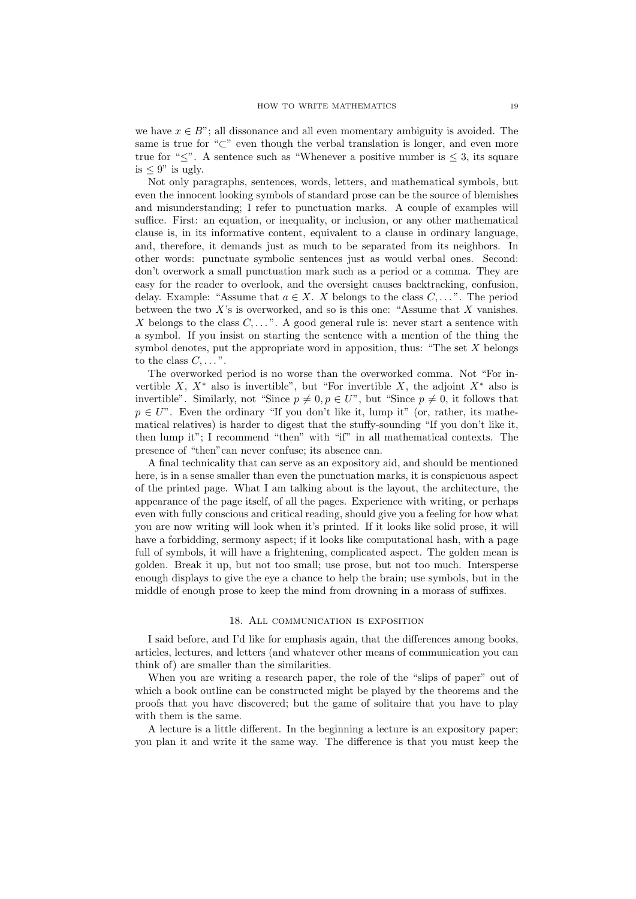we have  $x \in B$ "; all dissonance and all even momentary ambiguity is avoided. The same is true for "⊂" even though the verbal translation is longer, and even more true for " $\leq$ ". A sentence such as "Whenever a positive number is  $\leq$  3, its square is  $\leq 9$ " is ugly.

Not only paragraphs, sentences, words, letters, and mathematical symbols, but even the innocent looking symbols of standard prose can be the source of blemishes and misunderstanding; I refer to punctuation marks. A couple of examples will suffice. First: an equation, or inequality, or inclusion, or any other mathematical clause is, in its informative content, equivalent to a clause in ordinary language, and, therefore, it demands just as much to be separated from its neighbors. In other words: punctuate symbolic sentences just as would verbal ones. Second: don't overwork a small punctuation mark such as a period or a comma. They are easy for the reader to overlook, and the oversight causes backtracking, confusion, delay. Example: "Assume that  $a \in X$ . X belongs to the class  $C, \ldots$ ". The period between the two  $X$ 's is overworked, and so is this one: "Assume that  $X$  vanishes. X belongs to the class  $C, \ldots$ ". A good general rule is: never start a sentence with a symbol. If you insist on starting the sentence with a mention of the thing the symbol denotes, put the appropriate word in apposition, thus: "The set  $X$  belongs to the class  $C, \ldots$ ".

The overworked period is no worse than the overworked comma. Not "For invertible X,  $X^*$  also is invertible", but "For invertible X, the adjoint  $X^*$  also is invertible". Similarly, not "Since  $p \neq 0, p \in U$ ", but "Since  $p \neq 0$ , it follows that  $p \in U$ ". Even the ordinary "If you don't like it, lump it" (or, rather, its mathematical relatives) is harder to digest that the stuffy-sounding "If you don't like it, then lump it"; I recommend "then" with "if" in all mathematical contexts. The presence of "then"can never confuse; its absence can.

A final technicality that can serve as an expository aid, and should be mentioned here, is in a sense smaller than even the punctuation marks, it is conspicuous aspect of the printed page. What I am talking about is the layout, the architecture, the appearance of the page itself, of all the pages. Experience with writing, or perhaps even with fully conscious and critical reading, should give you a feeling for how what you are now writing will look when it's printed. If it looks like solid prose, it will have a forbidding, sermony aspect; if it looks like computational hash, with a page full of symbols, it will have a frightening, complicated aspect. The golden mean is golden. Break it up, but not too small; use prose, but not too much. Intersperse enough displays to give the eye a chance to help the brain; use symbols, but in the middle of enough prose to keep the mind from drowning in a morass of suffixes.

### 18. All communication is exposition

I said before, and I'd like for emphasis again, that the differences among books, articles, lectures, and letters (and whatever other means of communication you can think of) are smaller than the similarities.

When you are writing a research paper, the role of the "slips of paper" out of which a book outline can be constructed might be played by the theorems and the proofs that you have discovered; but the game of solitaire that you have to play with them is the same.

A lecture is a little different. In the beginning a lecture is an expository paper; you plan it and write it the same way. The difference is that you must keep the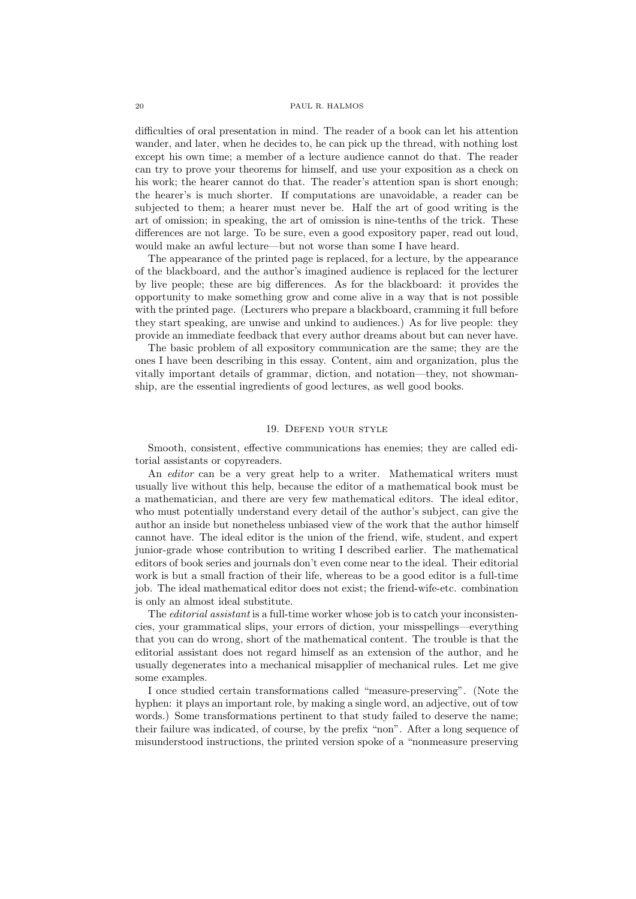difficulties of oral presentation in mind. The reader of a book can let his attention wander, and later, when he decides to, he can pick up the thread, with nothing lost except his own time; a member of a lecture audience cannot do that. The reader can try to prove your theorems for himself, and use your exposition as a check on his work; the hearer cannot do that. The reader's attention span is short enough; the hearer's is much shorter. If computations are unavoidable, a reader can be subjected to them; a hearer must never be. Half the art of good writing is the art of omission; in speaking, the art of omission is nine-tenths of the trick. These differences are not large. To be sure, even a good expository paper, read out loud, would make an awful lecture—but not worse than some I have heard.

The appearance of the printed page is replaced, for a lecture, by the appearance of the blackboard, and the author's imagined audience is replaced for the lecturer by live people; these are big differences. As for the blackboard: it provides the opportunity to make something grow and come alive in a way that is not possible with the printed page. (Lecturers who prepare a blackboard, cramming it full before they start speaking, are unwise and unkind to audiences.) As for live people: they provide an immediate feedback that every author dreams about but can never have.

The basic problem of all expository communication are the same; they are the ones I have been describing in this essay. Content, aim and organization, plus the vitally important details of grammar, diction, and notation—they, not showmanship, are the essential ingredients of good lectures, as well good books.

### 19. Defend your style

Smooth, consistent, effective communications has enemies; they are called editorial assistants or copyreaders.

An *editor* can be a very great help to a writer. Mathematical writers must usually live without this help, because the editor of a mathematical book must be a mathematician, and there are very few mathematical editors. The ideal editor, who must potentially understand every detail of the author's subject, can give the author an inside but nonetheless unbiased view of the work that the author himself cannot have. The ideal editor is the union of the friend, wife, student, and expert junior-grade whose contribution to writing I described earlier. The mathematical editors of book series and journals don't even come near to the ideal. Their editorial work is but a small fraction of their life, whereas to be a good editor is a full-time job. The ideal mathematical editor does not exist; the friend-wife-etc. combination is only an almost ideal substitute.

The editorial assistant is a full-time worker whose job is to catch your inconsistencies, your grammatical slips, your errors of diction, your misspellings—everything that you can do wrong, short of the mathematical content. The trouble is that the editorial assistant does not regard himself as an extension of the author, and he usually degenerates into a mechanical misapplier of mechanical rules. Let me give some examples.

I once studied certain transformations called "measure-preserving". (Note the hyphen: it plays an important role, by making a single word, an adjective, out of tow words.) Some transformations pertinent to that study failed to deserve the name; their failure was indicated, of course, by the prefix "non". After a long sequence of misunderstood instructions, the printed version spoke of a "nonmeasure preserving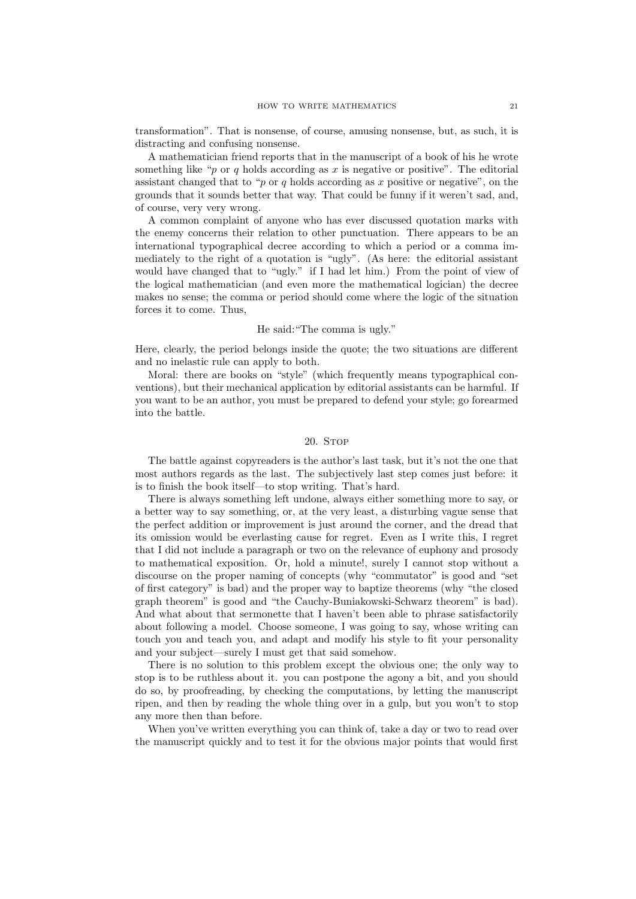transformation". That is nonsense, of course, amusing nonsense, but, as such, it is distracting and confusing nonsense.

A mathematician friend reports that in the manuscript of a book of his he wrote something like " $p$  or  $q$  holds according as  $x$  is negative or positive". The editorial assistant changed that to "p or q holds according as x positive or negative", on the grounds that it sounds better that way. That could be funny if it weren't sad, and, of course, very very wrong.

A common complaint of anyone who has ever discussed quotation marks with the enemy concerns their relation to other punctuation. There appears to be an international typographical decree according to which a period or a comma immediately to the right of a quotation is "ugly". (As here: the editorial assistant would have changed that to "ugly." if I had let him.) From the point of view of the logical mathematician (and even more the mathematical logician) the decree makes no sense; the comma or period should come where the logic of the situation forces it to come. Thus,

## He said:"The comma is ugly."

Here, clearly, the period belongs inside the quote; the two situations are different and no inelastic rule can apply to both.

Moral: there are books on "style" (which frequently means typographical conventions), but their mechanical application by editorial assistants can be harmful. If you want to be an author, you must be prepared to defend your style; go forearmed into the battle.

## 20. STOP

The battle against copyreaders is the author's last task, but it's not the one that most authors regards as the last. The subjectively last step comes just before: it is to finish the book itself—to stop writing. That's hard.

There is always something left undone, always either something more to say, or a better way to say something, or, at the very least, a disturbing vague sense that the perfect addition or improvement is just around the corner, and the dread that its omission would be everlasting cause for regret. Even as I write this, I regret that I did not include a paragraph or two on the relevance of euphony and prosody to mathematical exposition. Or, hold a minute!, surely I cannot stop without a discourse on the proper naming of concepts (why "commutator" is good and "set of first category" is bad) and the proper way to baptize theorems (why "the closed graph theorem" is good and "the Cauchy-Buniakowski-Schwarz theorem" is bad). And what about that sermonette that I haven't been able to phrase satisfactorily about following a model. Choose someone, I was going to say, whose writing can touch you and teach you, and adapt and modify his style to fit your personality and your subject—surely I must get that said somehow.

There is no solution to this problem except the obvious one; the only way to stop is to be ruthless about it. you can postpone the agony a bit, and you should do so, by proofreading, by checking the computations, by letting the manuscript ripen, and then by reading the whole thing over in a gulp, but you won't to stop any more then than before.

When you've written everything you can think of, take a day or two to read over the manuscript quickly and to test it for the obvious major points that would first